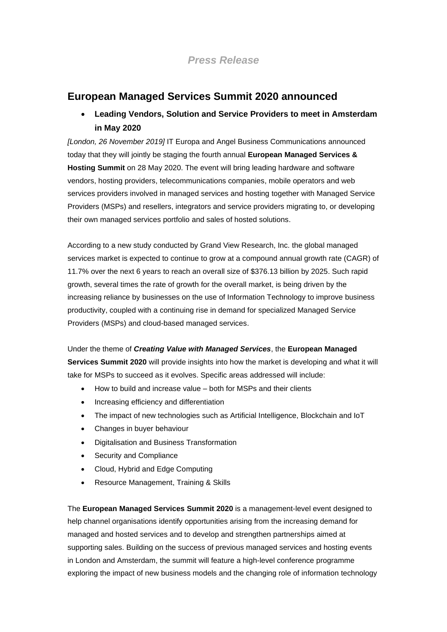## *Press Release*

### **European Managed Services Summit 2020 announced**

# • **Leading Vendors, Solution and Service Providers to meet in Amsterdam in May 2020**

*[London, 26 November 2019]* IT Europa and Angel Business Communications announced today that they will jointly be staging the fourth annual **European Managed Services & Hosting Summit** on 28 May 2020. The event will bring leading hardware and software vendors, hosting providers, telecommunications companies, mobile operators and web services providers involved in managed services and hosting together with Managed Service Providers (MSPs) and resellers, integrators and service providers migrating to, or developing their own managed services portfolio and sales of hosted solutions.

According to a new study conducted by Grand View Research, Inc. the global managed services market is expected to continue to grow at a compound annual growth rate (CAGR) of 11.7% over the next 6 years to reach an overall size of \$376.13 billion by 2025. Such rapid growth, several times the rate of growth for the overall market, is being driven by the increasing reliance by businesses on the use of Information Technology to improve business productivity, coupled with a continuing rise in demand for specialized Managed Service Providers (MSPs) and cloud-based managed services.

Under the theme of *Creating Value with Managed Services*, the **European Managed Services Summit 2020** will provide insights into how the market is developing and what it will take for MSPs to succeed as it evolves. Specific areas addressed will include:

- How to build and increase value both for MSPs and their clients
- Increasing efficiency and differentiation
- The impact of new technologies such as Artificial Intelligence, Blockchain and IoT
- Changes in buyer behaviour
- Digitalisation and Business Transformation
- Security and Compliance
- Cloud, Hybrid and Edge Computing
- Resource Management, Training & Skills

The **European Managed Services Summit 2020** is a management-level event designed to help channel organisations identify opportunities arising from the increasing demand for managed and hosted services and to develop and strengthen partnerships aimed at supporting sales. Building on the success of previous managed services and hosting events in London and Amsterdam, the summit will feature a high-level conference programme exploring the impact of new business models and the changing role of information technology